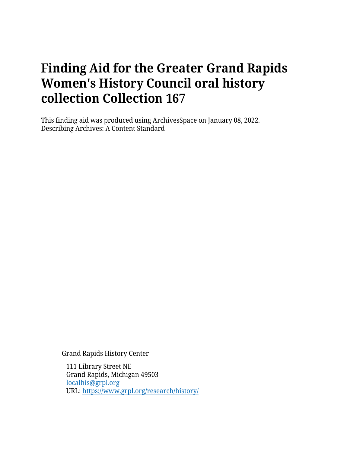This finding aid was produced using ArchivesSpace on January 08, 2022. Describing Archives: A Content Standard

Grand Rapids History Center

111 Library Street NE Grand Rapids, Michigan 49503 [localhis@grpl.org](mailto:localhis@grpl.org) URL:<https://www.grpl.org/research/history/>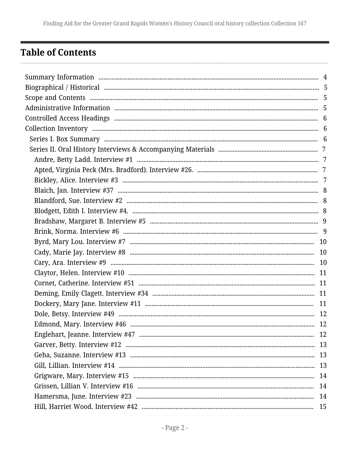# <span id="page-1-0"></span>**Table of Contents**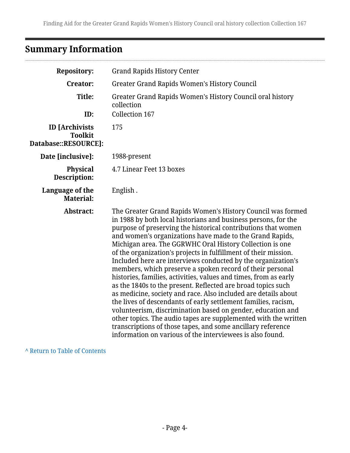# <span id="page-3-0"></span>**Summary Information**

| <b>Repository:</b>                                              | <b>Grand Rapids History Center</b>                                                                                                                                                                                                                                                                                                                                                                                                                                                                                                                                                                                                                                                                                                                                                                                                                                                                                                                                                                                                                           |
|-----------------------------------------------------------------|--------------------------------------------------------------------------------------------------------------------------------------------------------------------------------------------------------------------------------------------------------------------------------------------------------------------------------------------------------------------------------------------------------------------------------------------------------------------------------------------------------------------------------------------------------------------------------------------------------------------------------------------------------------------------------------------------------------------------------------------------------------------------------------------------------------------------------------------------------------------------------------------------------------------------------------------------------------------------------------------------------------------------------------------------------------|
| <b>Creator:</b>                                                 | <b>Greater Grand Rapids Women's History Council</b>                                                                                                                                                                                                                                                                                                                                                                                                                                                                                                                                                                                                                                                                                                                                                                                                                                                                                                                                                                                                          |
| Title:<br>ID:                                                   | Greater Grand Rapids Women's History Council oral history<br>collection<br>Collection 167                                                                                                                                                                                                                                                                                                                                                                                                                                                                                                                                                                                                                                                                                                                                                                                                                                                                                                                                                                    |
| <b>ID</b> [Archivists<br><b>Toolkit</b><br>Database::RESOURCE]: | 175                                                                                                                                                                                                                                                                                                                                                                                                                                                                                                                                                                                                                                                                                                                                                                                                                                                                                                                                                                                                                                                          |
| Date [inclusive]:                                               | 1988-present                                                                                                                                                                                                                                                                                                                                                                                                                                                                                                                                                                                                                                                                                                                                                                                                                                                                                                                                                                                                                                                 |
| <b>Physical</b><br>Description:                                 | 4.7 Linear Feet 13 boxes                                                                                                                                                                                                                                                                                                                                                                                                                                                                                                                                                                                                                                                                                                                                                                                                                                                                                                                                                                                                                                     |
| Language of the<br><b>Material:</b>                             | English.                                                                                                                                                                                                                                                                                                                                                                                                                                                                                                                                                                                                                                                                                                                                                                                                                                                                                                                                                                                                                                                     |
| Abstract:                                                       | The Greater Grand Rapids Women's History Council was formed<br>in 1988 by both local historians and business persons, for the<br>purpose of preserving the historical contributions that women<br>and women's organizations have made to the Grand Rapids,<br>Michigan area. The GGRWHC Oral History Collection is one<br>of the organization's projects in fulfillment of their mission.<br>Included here are interviews conducted by the organization's<br>members, which preserve a spoken record of their personal<br>histories, families, activities, values and times, from as early<br>as the 1840s to the present. Reflected are broad topics such<br>as medicine, society and race. Also included are details about<br>the lives of descendants of early settlement families, racism,<br>volunteerism, discrimination based on gender, education and<br>other topics. The audio tapes are supplemented with the written<br>transcriptions of those tapes, and some ancillary reference<br>information on various of the interviewees is also found. |

**^** [Return to Table of Contents](#page-1-0)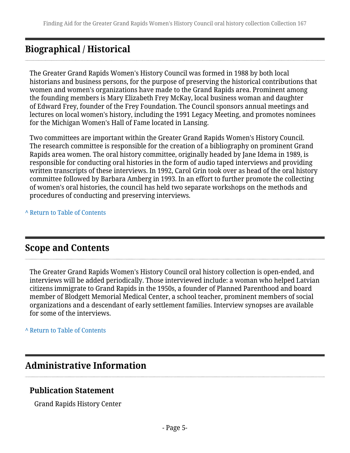# <span id="page-4-0"></span>**Biographical / Historical**

The Greater Grand Rapids Women's History Council was formed in 1988 by both local historians and business persons, for the purpose of preserving the historical contributions that women and women's organizations have made to the Grand Rapids area. Prominent among the founding members is Mary Elizabeth Frey McKay, local business woman and daughter of Edward Frey, founder of the Frey Foundation. The Council sponsors annual meetings and lectures on local women's history, including the 1991 Legacy Meeting, and promotes nominees for the Michigan Women's Hall of Fame located in Lansing.

Two committees are important within the Greater Grand Rapids Women's History Council. The research committee is responsible for the creation of a bibliography on prominent Grand Rapids area women. The oral history committee, originally headed by Jane Idema in 1989, is responsible for conducting oral histories in the form of audio taped interviews and providing written transcripts of these interviews. In 1992, Carol Grin took over as head of the oral history committee followed by Barbara Amberg in 1993. In an effort to further promote the collecting of women's oral histories, the council has held two separate workshops on the methods and procedures of conducting and preserving interviews.

**^** [Return to Table of Contents](#page-1-0)

# <span id="page-4-1"></span>**Scope and Contents**

The Greater Grand Rapids Women's History Council oral history collection is open-ended, and interviews will be added periodically. Those interviewed include: a woman who helped Latvian citizens immigrate to Grand Rapids in the 1950s, a founder of Planned Parenthood and board member of Blodgett Memorial Medical Center, a school teacher, prominent members of social organizations and a descendant of early settlement families. Interview synopses are available for some of the interviews.

**^** [Return to Table of Contents](#page-1-0)

# <span id="page-4-2"></span>**Administrative Information**

## **Publication Statement**

Grand Rapids History Center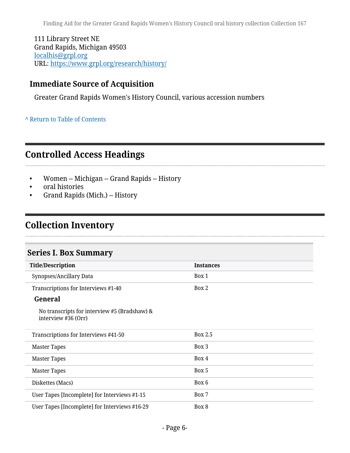111 Library Street NE Grand Rapids, Michigan 49503 [localhis@grpl.org](mailto:localhis@grpl.org) URL:<https://www.grpl.org/research/history/>

## **Immediate Source of Acquisition**

Greater Grand Rapids Women's History Council, various accession numbers

**^** [Return to Table of Contents](#page-1-0)

# <span id="page-5-0"></span>**Controlled Access Headings**

- Women -- Michigan -- Grand Rapids -- History
- oral histories

. . . . . . . . . . . . . . .

• Grand Rapids (Mich.) -- History

# <span id="page-5-1"></span>**Collection Inventory**

### <span id="page-5-2"></span>**Series I. Box Summary**

| <b>Title/Description</b>                                            | <b>Instances</b> |
|---------------------------------------------------------------------|------------------|
| Synopses/Ancillary Data                                             | Box 1            |
| Transcriptions for Interviews #1-40                                 | Box 2            |
| General                                                             |                  |
| No transcripts for interview #5 (Bradshaw) &<br>interview #36 (Orr) |                  |
| Transcriptions for Interviews #41-50                                | Box 2.5          |
| <b>Master Tapes</b>                                                 | Box 3            |
| <b>Master Tapes</b>                                                 | Box 4            |
| <b>Master Tapes</b>                                                 | Box 5            |
| Diskettes (Macs)                                                    | Box 6            |
| User Tapes [Incomplete] for Interviews #1-15                        | Box 7            |
| User Tapes [Incomplete] for Interviews #16-29                       | Box 8            |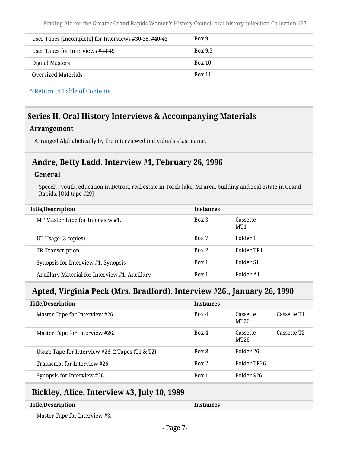| User Tapes [Incomplete] for Interviews #30-38, #40-43 | Box 9          |
|-------------------------------------------------------|----------------|
| User Tapes for Interviews #44-49                      | <b>Box 9.5</b> |
| Digital Masters                                       | Box 10         |
| Oversized Materials                                   | <b>Box 11</b>  |

**^** [Return to Table of Contents](#page-1-0)

## <span id="page-6-0"></span>**Series II. Oral History Interviews & Accompanying Materials**

#### **Arrangement**

Arranged Alphabetically by the interviewed individuals's last name.

## <span id="page-6-1"></span>**Andre, Betty Ladd. Interview #1, February 26, 1996**

#### **General**

Speech : youth, education in Detroit, real estate in Torch lake, MI area, building and real estate in Grand Rapids. [Old tape #29]

| <b>Title/Description</b>                       | <b>Instances</b> |                 |
|------------------------------------------------|------------------|-----------------|
| MT Master Tape for Interview #1.               | Box 3            | Cassette<br>MT1 |
| UT Usage (3 copies)                            | Box 7            | Folder 1        |
| TR Transcription                               | Box 2            | Folder TR1      |
| Synopsis for Interview #1. Synopsis            | Box 1            | Folder S1       |
| Ancillary Material for Interview #1. Ancillary | Box 1            | Folder A1       |

## <span id="page-6-2"></span>**Apted, Virginia Peck (Mrs. Bradford). Interview #26., January 26, 1990**

| <b>Title/Description</b>                        | <b>Instances</b> |                  |                         |
|-------------------------------------------------|------------------|------------------|-------------------------|
| Master Tape for Interview #26.                  | Box 4            | Cassette<br>MT26 | Cassette T1             |
| Master Tape for Interview #26.                  | Box 4            | Cassette<br>MT26 | Cassette T <sub>2</sub> |
| Usage Tape for Interview #26. 2 Tapes (T1 & T2) | Box 8            | Folder 26        |                         |
| Transcript for Interview #26                    | Box 2            | Folder TR26      |                         |
| Synopsis for Interview #26.                     | Box 1            | Folder S26       |                         |

# <span id="page-6-3"></span>**Bickley, Alice. Interview #3, July 10, 1989**

| <b>Title/Description</b> | <b>Instances</b> |
|--------------------------|------------------|
|                          |                  |

Master Tape for Interview #3.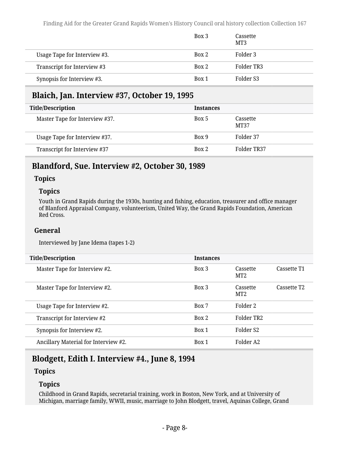|                              | Box 3 | Cassette<br>MT3 |  |
|------------------------------|-------|-----------------|--|
| Usage Tape for Interview #3. | Box 2 | Folder 3        |  |
| Transcript for Interview #3  | Box 2 | Folder TR3      |  |
| Synopsis for Interview #3.   | Box 1 | Folder S3       |  |

# <span id="page-7-0"></span>**Blaich, Jan. Interview #37, October 19, 1995**

| <b>Title/Description</b>       | <b>Instances</b> |                  |
|--------------------------------|------------------|------------------|
| Master Tape for Interview #37. | Box 5            | Cassette<br>MT37 |
| Usage Tape for Interview #37.  | Box 9            | Folder 37        |
| Transcript for Interview #37   | Box 2            | Folder TR37      |

### <span id="page-7-1"></span>**Blandford, Sue. Interview #2, October 30, 1989**

#### **Topics**

#### **Topics**

Youth in Grand Rapids during the 1930s, hunting and fishing, education, treasurer and office manager of Blanford Appraisal Company, volunteerism, United Way, the Grand Rapids Foundation, American Red Cross.

#### **General**

Interviewed by Jane Idema (tapes 1-2)

| <b>Title/Description</b>             | <b>Instances</b> |                             |                         |
|--------------------------------------|------------------|-----------------------------|-------------------------|
| Master Tape for Interview #2.        | Box 3            | Cassette<br>MT <sub>2</sub> | Cassette T1             |
| Master Tape for Interview #2.        | Box 3            | Cassette<br>MT <sub>2</sub> | Cassette T <sub>2</sub> |
| Usage Tape for Interview #2.         | Box 7            | Folder 2                    |                         |
| Transcript for Interview #2          | Box 2            | Folder TR <sub>2</sub>      |                         |
| Synopsis for Interview #2.           | Box 1            | Folder <sub>S2</sub>        |                         |
| Ancillary Material for Interview #2. | Box 1            | Folder A2                   |                         |
|                                      |                  |                             |                         |

# <span id="page-7-2"></span>**Blodgett, Edith I. Interview #4., June 8, 1994**

### **Topics**

#### **Topics**

Childhood in Grand Rapids, secretarial training, work in Boston, New York, and at University of Michigan, marriage family, WWII, music, marriage to John Blodgett, travel, Aquinas College, Grand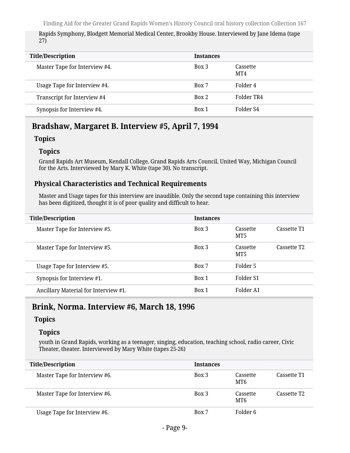Rapids Symphony, Blodgett Memorial Medical Center, Brookby House. Interviewed by Jane Idema (tape 27)

| <b>Title/Description</b>      | <b>Instances</b> |                 |
|-------------------------------|------------------|-----------------|
| Master Tape for Interview #4. | Box 3            | Cassette<br>MT4 |
| Usage Tape for Interview #4.  | Box 7            | Folder 4        |
| Transcript for Interview #4   | Box 2            | Folder TR4      |
| Synopsis for Interview #4.    | Box 1            | Folder S4       |

## <span id="page-8-0"></span>**Bradshaw, Margaret B. Interview #5, April 7, 1994**

#### **Topics**

#### **Topics**

Grand Rapids Art Museum, Kendall College, Grand Rapids Arts Council, United Way, Michigan Council for the Arts. Interviewed by Mary K. White (tape 30). No transcript.

### **Physical Characteristics and Technical Requirements**

Master and Usage tapes for this interview are inaudible. Only the second tape containing this interview has been digitized, thought it is of poor quality and difficult to hear.

| <b>Title/Description</b>             | <b>Instances</b> |                 |                         |
|--------------------------------------|------------------|-----------------|-------------------------|
| Master Tape for Interview #5.        | Box 3            | Cassette<br>MT5 | Cassette T1             |
| Master Tape for Interview #5.        | Box 3            | Cassette<br>MT5 | Cassette T <sub>2</sub> |
| Usage Tape for Interview #5.         | Box 7            | Folder 5        |                         |
| Synopsis for Interview #1.           | Box 1            | Folder S1       |                         |
| Ancillary Material for Interview #1. | Box 1            | Folder A1       |                         |

### <span id="page-8-1"></span>**Brink, Norma. Interview #6, March 18, 1996**

### **Topics**

#### **Topics**

youth in Grand Rapids, working as a teenager, singing, education, teaching school, radio career, Civic Theater, theater. Interviewed by Mary White (tapes 25-26)

| <b>Title/Description</b>      | <b>Instances</b> |                             |                         |
|-------------------------------|------------------|-----------------------------|-------------------------|
| Master Tape for Interview #6. | Box 3            | Cassette<br>MT <sub>6</sub> | Cassette T1             |
| Master Tape for Interview #6. | Box 3            | Cassette<br>MT6             | Cassette T <sub>2</sub> |
| Usage Tape for Interview #6.  | Box 7            | Folder 6                    |                         |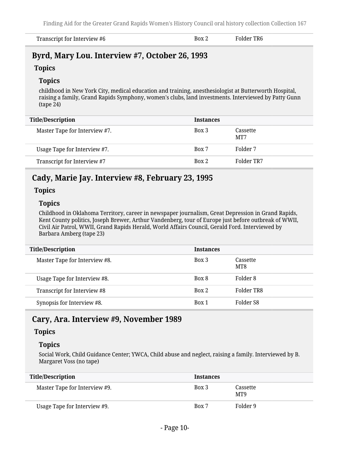| Transcript for Interview #6 | Box 2 | Folder TR6 |  |
|-----------------------------|-------|------------|--|
|-----------------------------|-------|------------|--|

### <span id="page-9-0"></span>**Byrd, Mary Lou. Interview #7, October 26, 1993**

### **Topics**

#### **Topics**

childhood in New York City, medical education and training, anesthesiologist at Butterworth Hospital, raising a family, Grand Rapids Symphony, women's clubs, land investments. Interviewed by Patty Gunn (tape 24)

| <b>Title/Description</b>      | <b>Instances</b> |                 |
|-------------------------------|------------------|-----------------|
| Master Tape for Interview #7. | Box 3            | Cassette<br>MT7 |
| Usage Tape for Interview #7.  | Box 7            | Folder 7        |
| Transcript for Interview #7   | Box 2            | Folder TR7      |

## <span id="page-9-1"></span>**Cady, Marie Jay. Interview #8, February 23, 1995**

#### **Topics**

#### **Topics**

Childhood in Oklahoma Territory, career in newspaper journalism, Great Depression in Grand Rapids, Kent County politics, Joseph Brewer, Arthur Vandenberg, tour of Europe just before outbreak of WWII, Civil Air Patrol, WWII, Grand Rapids Herald, World Affairs Council, Gerald Ford. Interviewed by Barbara Amberg (tape 23)

| <b>Title/Description</b>      | <b>Instances</b> |                 |
|-------------------------------|------------------|-----------------|
| Master Tape for Interview #8. | Box 3            | Cassette<br>MT8 |
| Usage Tape for Interview #8.  | Box 8            | Folder 8        |
| Transcript for Interview #8   | Box 2            | Folder TR8      |
| Synopsis for Interview #8.    | Box 1            | Folder S8       |

### <span id="page-9-2"></span>**Cary, Ara. Interview #9, November 1989**

#### **Topics**

#### **Topics**

Social Work, Child Guidance Center; YWCA, Child abuse and neglect, raising a family. Interviewed by B. Margaret Voss (no tape)

| <b>Title/Description</b>      | <b>Instances</b> |                 |
|-------------------------------|------------------|-----------------|
| Master Tape for Interview #9. | Box 3            | Cassette<br>MT9 |
| Usage Tape for Interview #9.  | Box 7            | Folder 9        |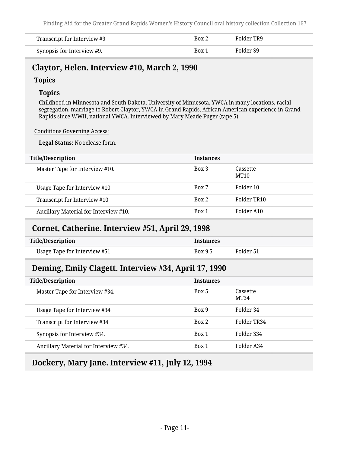| Transcript for Interview #9 | Box 2 | Folder TR9 |
|-----------------------------|-------|------------|
| Synopsis for Interview #9.  | Box 1 | Folder S9  |

## <span id="page-10-0"></span>**Claytor, Helen. Interview #10, March 2, 1990**

### **Topics**

### **Topics**

Childhood in Minnesota and South Dakota, University of Minnesota, YWCA in many locations, racial segregation, marriage to Robert Claytor, YWCA in Grand Rapids, African American experience in Grand Rapids since WWII, national YWCA. Interviewed by Mary Meade Fuger (tape 5)

#### Conditions Governing Access:

**Legal Status:** No release form.

| <b>Title/Description</b>              | <b>Instances</b> |                  |
|---------------------------------------|------------------|------------------|
| Master Tape for Interview #10.        | Box 3            | Cassette<br>MT10 |
| Usage Tape for Interview #10.         | Box 7            | Folder 10        |
| Transcript for Interview #10          | Box 2            | Folder TR10      |
| Ancillary Material for Interview #10. | Box 1            | Folder A10       |

### <span id="page-10-1"></span>**Cornet, Catherine. Interview #51, April 29, 1998**

| <b>Title/Description</b>      | <b>Instances</b> |           |
|-------------------------------|------------------|-----------|
| Usage Tape for Interview #51. | Box 9.5          | Folder 51 |

# <span id="page-10-2"></span>**Deming, Emily Clagett. Interview #34, April 17, 1990**

| <b>Title/Description</b>              | <b>Instances</b> |                  |
|---------------------------------------|------------------|------------------|
| Master Tape for Interview #34.        | Box 5            | Cassette<br>MT34 |
| Usage Tape for Interview #34.         | Box 9            | Folder 34        |
| Transcript for Interview #34          | Box 2            | Folder TR34      |
| Synopsis for Interview #34.           | Box 1            | Folder S34       |
| Ancillary Material for Interview #34. | Box 1            | Folder A34       |

# <span id="page-10-3"></span>**Dockery, Mary Jane. Interview #11, July 12, 1994**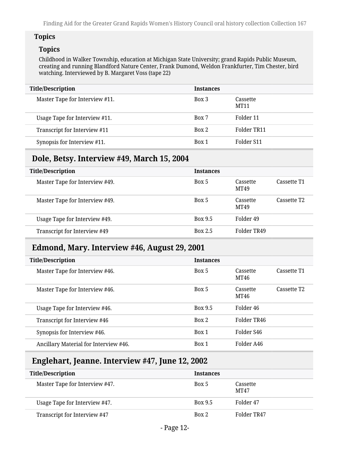### **Topics**

### **Topics**

Childhood in Walker Township, education at Michigan State University; grand Rapids Public Museum, creating and running Blandford Nature Center, Frank Dumond, Weldon Frankfurter, Tim Chester, bird watching. Interviewed by B. Margaret Voss (tape 22)

| <b>Title/Description</b>       | <b>Instances</b> |                         |
|--------------------------------|------------------|-------------------------|
| Master Tape for Interview #11. | Box 3            | Cassette<br><b>MT11</b> |
| Usage Tape for Interview #11.  | Box 7            | Folder 11               |
| Transcript for Interview #11   | Box 2            | Folder TR11             |
| Synopsis for Interview #11.    | Box 1            | Folder S11              |

# <span id="page-11-0"></span>**Dole, Betsy. Interview #49, March 15, 2004**

| <b>Title/Description</b>       | <b>Instances</b> |                  |                         |
|--------------------------------|------------------|------------------|-------------------------|
| Master Tape for Interview #49. | Box 5            | Cassette<br>MT49 | Cassette T1             |
| Master Tape for Interview #49. | Box 5            | Cassette<br>MT49 | Cassette T <sub>2</sub> |
| Usage Tape for Interview #49.  | <b>Box 9.5</b>   | Folder 49        |                         |
| Transcript for Interview #49   | <b>Box 2.5</b>   | Folder TR49      |                         |

# <span id="page-11-1"></span>**Edmond, Mary. Interview #46, August 29, 2001**

| <b>Title/Description</b>              | <b>Instances</b> |                  |                         |
|---------------------------------------|------------------|------------------|-------------------------|
| Master Tape for Interview #46.        | Box 5            | Cassette<br>MT46 | Cassette T1             |
| Master Tape for Interview #46.        | Box 5            | Cassette<br>MT46 | Cassette T <sub>2</sub> |
| Usage Tape for Interview #46.         | <b>Box 9.5</b>   | Folder 46        |                         |
| Transcript for Interview #46          | Box 2            | Folder TR46      |                         |
| Synopsis for Interview #46.           | Box 1            | Folder S46       |                         |
| Ancillary Material for Interview #46. | Box 1            | Folder A46       |                         |

# <span id="page-11-2"></span>**Englehart, Jeanne. Interview #47, June 12, 2002**

| <b>Title/Description</b>       | <b>Instances</b> |                         |
|--------------------------------|------------------|-------------------------|
| Master Tape for Interview #47. | Box 5            | Cassette<br><b>MT47</b> |
| Usage Tape for Interview #47.  | <b>Box 9.5</b>   | Folder 47               |
| Transcript for Interview #47   | Box 2            | Folder TR47             |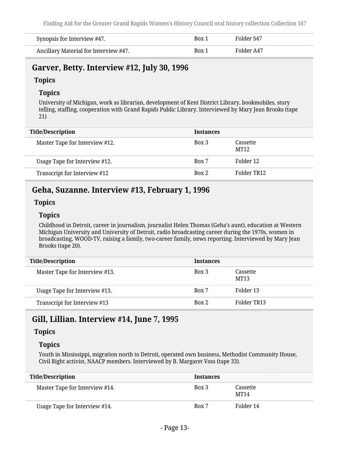| Synopsis for Interview #47.           | Box 1 | Folder S47 |
|---------------------------------------|-------|------------|
| Ancillary Material for Interview #47. | Box 1 | Folder A47 |

### <span id="page-12-0"></span>**Garver, Betty. Interview #12, July 30, 1996**

#### **Topics**

### **Topics**

University of Michigan, work as librarian, development of Kent District Library, bookmobiles, story telling, staffing, cooperation with Grand Rapids Public Library. Interviewed by Mary Jean Brooks (tape 21)

| <b>Title/Description</b>       | <b>Instances</b> |                  |
|--------------------------------|------------------|------------------|
| Master Tape for Interview #12. | Box 3            | Cassette<br>MT12 |
| Usage Tape for Interview #12.  | Box 7            | Folder 12        |
| Transcript for Interview #12   | Box 2            | Folder TR12      |

## <span id="page-12-1"></span>**Geha, Suzanne. Interview #13, February 1, 1996**

### **Topics**

### **Topics**

Childhood in Detroit, career in journalism, journalist Helen Thomas (Geha's aunt), education at Western Michigan University and University of Detroit, radio broadcasting career during the 1970s, women in broadcasting, WOOD-TV, raising a family, two-career family, news reporting. Interviewed by Mary Jean Brooks (tape 20).

| <b>Title/Description</b>       | <b>Instances</b> |                  |
|--------------------------------|------------------|------------------|
| Master Tape for Interview #13. | Box 3            | Cassette<br>MT13 |
| Usage Tape for Interview #13.  | Box 7            | Folder 13        |
| Transcript for Interview #13   | Box 2            | Folder TR13      |

# <span id="page-12-2"></span>**Gill, Lillian. Interview #14, June 7, 1995**

### **Topics**

### **Topics**

Youth in Mississippi, migration north to Detroit, operated own business, Methodist Community House, Civil Right activist, NAACP members. Interviewed by B. Margaret Voss (tape 33).

| <b>Title/Description</b>       | <b>Instances</b> |                         |
|--------------------------------|------------------|-------------------------|
| Master Tape for Interview #14. | Box 3            | Cassette<br><b>MT14</b> |
| Usage Tape for Interview #14.  | Box 7            | Folder 14               |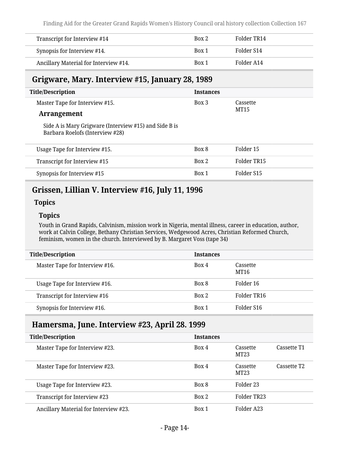| Transcript for Interview #14          | Box 2 | Folder TR14 |
|---------------------------------------|-------|-------------|
| Synopsis for Interview #14.           | Box 1 | Folder S14  |
| Ancillary Material for Interview #14. | Box 1 | Folder A14  |

### <span id="page-13-0"></span>**Grigware, Mary. Interview #15, January 28, 1989**

| <b>Title/Description</b>                                                                 | <b>Instances</b> |             |
|------------------------------------------------------------------------------------------|------------------|-------------|
| Master Tape for Interview #15.                                                           | Box 3            | Cassette    |
| <b>Arrangement</b>                                                                       |                  | <b>MT15</b> |
| Side A is Mary Grigware (Interview #15) and Side B is<br>Barbara Roelofs (Interview #28) |                  |             |
| Usage Tape for Interview #15.                                                            | Box 8            | Folder 15   |
| Transcript for Interview #15                                                             | Box 2            | Folder TR15 |

Synopsis for Interview #15 Box 1 Folder S15

### <span id="page-13-1"></span>**Grissen, Lillian V. Interview #16, July 11, 1996**

#### **Topics**

#### **Topics**

Youth in Grand Rapids, Calvinism, mission work in Nigeria, mental illness, career in education, author, work at Calvin College, Bethany Christian Services, Wedgewood Acres, Christian Reformed Church, feminism, women in the church. Interviewed by B. Margaret Voss (tape 34)

| <b>Title/Description</b>       | <b>Instances</b> |                        |
|--------------------------------|------------------|------------------------|
| Master Tape for Interview #16. | Box 4            | Cassette<br>MT16       |
| Usage Tape for Interview #16.  | Box 8            | Folder 16              |
| Transcript for Interview #16   | Box 2            | Folder TR16            |
| Synopsis for Interview #16.    | Box 1            | Folder S <sub>16</sub> |

### <span id="page-13-2"></span>**Hamersma, June. Interview #23, April 28. 1999**

| <b>Title/Description</b>              | <b>Instances</b> |                              |                         |
|---------------------------------------|------------------|------------------------------|-------------------------|
| Master Tape for Interview #23.        | Box 4            | Cassette<br>MT23             | Cassette T1             |
| Master Tape for Interview #23.        | Box 4            | Cassette<br>MT <sub>23</sub> | Cassette T <sub>2</sub> |
| Usage Tape for Interview #23.         | Box 8            | Folder 23                    |                         |
| Transcript for Interview #23          | Box 2            | Folder TR23                  |                         |
| Ancillary Material for Interview #23. | Box 1            | Folder A23                   |                         |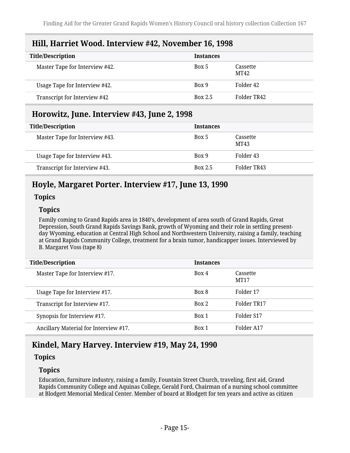## <span id="page-14-0"></span>**Hill, Harriet Wood. Interview #42, November 16, 1998**

| <b>Title/Description</b>       | <b>Instances</b> |                  |
|--------------------------------|------------------|------------------|
| Master Tape for Interview #42. | Box 5            | Cassette<br>MT42 |
| Usage Tape for Interview #42.  | Box 9            | Folder 42        |
| Transcript for Interview #42   | <b>Box 2.5</b>   | Folder TR42      |

## <span id="page-14-1"></span>**Horowitz, June. Interview #43, June 2, 1998**

| <b>Title/Description</b>       | <b>Instances</b> |                  |
|--------------------------------|------------------|------------------|
| Master Tape for Interview #43. | Box 5            | Cassette<br>MT43 |
| Usage Tape for Interview #43.  | Box 9            | Folder 43        |
| Transcript for Interview #43.  | <b>Box 2.5</b>   | Folder TR43      |

# <span id="page-14-2"></span>**Hoyle, Margaret Porter. Interview #17, June 13, 1990**

### **Topics**

### **Topics**

Family coming to Grand Rapids area in 1840's, development of area south of Grand Rapids, Great Depression, South Grand Rapids Savings Bank, growth of Wyoming and their role in settling presentday Wyoming, education at Central High School and Northwestern University, raising a family, teaching at Grand Rapids Community College, treatment for a brain tumor, handicapper issues. Interviewed by B. Margaret Voss (tape 8)

| <b>Title/Description</b>              | <b>Instances</b> |                              |
|---------------------------------------|------------------|------------------------------|
| Master Tape for Interview #17.        | Box 4            | Cassette<br>MT <sub>17</sub> |
| Usage Tape for Interview #17.         | Box 8            | Folder 17                    |
| Transcript for Interview #17.         | Box 2            | Folder TR17                  |
| Synopsis for Interview #17.           | Box 1            | Folder S17                   |
| Ancillary Material for Interview #17. | Box 1            | Folder A17                   |

# <span id="page-14-3"></span>**Kindel, Mary Harvey. Interview #19, May 24, 1990**

### **Topics**

### **Topics**

Education, furniture industry, raising a family, Fountain Street Church, traveling, first aid, Grand Rapids Community College and Aquinas College, Gerald Ford, Chairman of a nursing school committee at Blodgett Memorial Medical Center. Member of board at Blodgett for ten years and active as citizen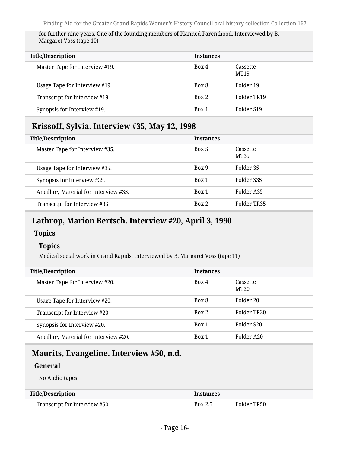for further nine years. One of the founding members of Planned Parenthood. Interviewed by B. Margaret Voss (tape 10)

| <b>Title/Description</b>       | <b>Instances</b> |                         |
|--------------------------------|------------------|-------------------------|
| Master Tape for Interview #19. | Box 4            | Cassette<br><b>MT19</b> |
| Usage Tape for Interview #19.  | Box 8            | Folder 19               |
| Transcript for Interview #19   | Box 2            | Folder TR19             |
| Synopsis for Interview #19.    | Box 1            | Folder S19              |

## <span id="page-15-0"></span>**Krissoff, Sylvia. Interview #35, May 12, 1998**

| <b>Title/Description</b>              | <b>Instances</b> |                  |
|---------------------------------------|------------------|------------------|
| Master Tape for Interview #35.        | Box 5            | Cassette<br>MT35 |
| Usage Tape for Interview #35.         | Box 9            | Folder 35        |
| Synopsis for Interview #35.           | Box 1            | Folder S35       |
| Ancillary Material for Interview #35. | Box 1            | Folder A35       |
| Transcript for Interview #35          | Box 2            | Folder TR35      |

### <span id="page-15-1"></span>**Lathrop, Marion Bertsch. Interview #20, April 3, 1990**

### **Topics**

### **Topics**

Medical social work in Grand Rapids. Interviewed by B. Margaret Voss (tape 11)

| <b>Title/Description</b>              | <b>Instances</b> |                  |
|---------------------------------------|------------------|------------------|
| Master Tape for Interview #20.        | Box 4            | Cassette<br>MT20 |
| Usage Tape for Interview #20.         | Box 8            | Folder 20        |
| Transcript for Interview #20          | Box 2            | Folder TR20      |
| Synopsis for Interview #20.           | Box 1            | Folder S20       |
| Ancillary Material for Interview #20. | Box 1            | Folder A20       |

# <span id="page-15-2"></span>**Maurits, Evangeline. Interview #50, n.d.**

### **General**

No Audio tapes

#### **Title/Description Instances**

Transcript for Interview #50 Box 2.5 Folder TR50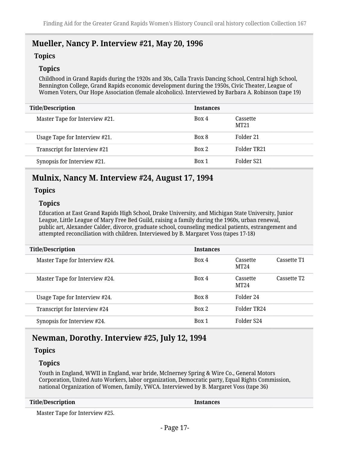### <span id="page-16-0"></span>**Mueller, Nancy P. Interview #21, May 20, 1996**

#### **Topics**

#### **Topics**

Childhood in Grand Rapids during the 1920s and 30s, Calla Travis Dancing School, Central high School, Bennington College, Grand Rapids economic development during the 1950s, Civic Theater, League of Women Voters, Our Hope Association (female alcoholics). Interviewed by Barbara A. Robinson (tape 19)

| <b>Title/Description</b>       | <b>Instances</b> |                  |
|--------------------------------|------------------|------------------|
| Master Tape for Interview #21. | Box 4            | Cassette<br>MT21 |
| Usage Tape for Interview #21.  | Box 8            | Folder 21        |
| Transcript for Interview #21   | Box 2            | Folder TR21      |
| Synopsis for Interview #21.    | Box 1            | Folder S21       |

### <span id="page-16-1"></span>**Mulnix, Nancy M. Interview #24, August 17, 1994**

#### **Topics**

#### **Topics**

Education at East Grand Rapids High School, Drake University, and Michigan State University, Junior League, Little League of Mary Free Bed Guild, raising a family during the 1960s, urban renewal, public art, Alexander Calder, divorce, graduate school, counseling medical patients, estrangement and attempted reconciliation with children. Interviewed by B. Margaret Voss (tapes 17-18)

| <b>Title/Description</b>       | <b>Instances</b> |                  |                         |
|--------------------------------|------------------|------------------|-------------------------|
| Master Tape for Interview #24. | Box 4            | Cassette<br>MT24 | Cassette T1             |
| Master Tape for Interview #24. | Box 4            | Cassette<br>MT24 | Cassette T <sub>2</sub> |
| Usage Tape for Interview #24.  | Box 8            | Folder 24        |                         |
| Transcript for Interview #24   | Box 2            | Folder TR24      |                         |
| Synopsis for Interview #24.    | Box 1            | Folder S24       |                         |

### <span id="page-16-2"></span>**Newman, Dorothy. Interview #25, July 12, 1994**

#### **Topics**

#### **Topics**

Youth in England, WWII in England, war bride, McInerney Spring & Wire Co., General Motors Corporation, United Auto Workers, labor organization, Democratic party, Equal Rights Commission, national Organization of Women, family, YWCA. Interviewed by B. Margaret Voss (tape 36)

| <b>Title/Description</b> |  |
|--------------------------|--|
|--------------------------|--|

**Instances** 

Master Tape for Interview #25.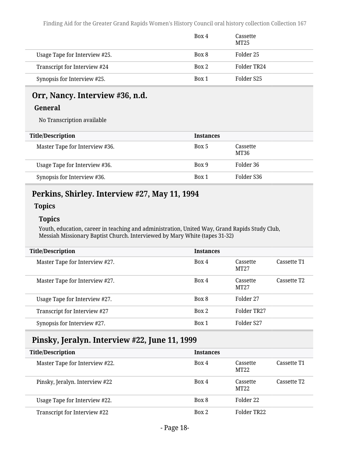|                               | Box 4 | Cassette<br>MT25 |
|-------------------------------|-------|------------------|
| Usage Tape for Interview #25. | Box 8 | Folder 25        |
| Transcript for Interview #24  | Box 2 | Folder TR24      |
| Synopsis for Interview #25.   | Box 1 | Folder S25       |

# <span id="page-17-0"></span>**Orr, Nancy. Interview #36, n.d.**

#### **General**

No Transcription available

| <b>Title/Description</b>       | <b>Instances</b> |                  |
|--------------------------------|------------------|------------------|
| Master Tape for Interview #36. | Box 5            | Cassette<br>MT36 |
| Usage Tape for Interview #36.  | Box 9            | Folder 36        |
| Synopsis for Interview #36.    | Box 1            | Folder S36       |

# <span id="page-17-1"></span>**Perkins, Shirley. Interview #27, May 11, 1994**

### **Topics**

#### **Topics**

Youth, education, career in teaching and administration, United Way, Grand Rapids Study Club, Messiah Missionary Baptist Church. Interviewed by Mary White (tapes 31-32)

| <b>Title/Description</b>       | <b>Instances</b> |                  |                         |
|--------------------------------|------------------|------------------|-------------------------|
| Master Tape for Interview #27. | Box 4            | Cassette<br>MT27 | Cassette T1             |
| Master Tape for Interview #27. | Box 4            | Cassette<br>MT27 | Cassette T <sub>2</sub> |
| Usage Tape for Interview #27.  | Box 8            | Folder 27        |                         |
| Transcript for Interview #27   | Box 2            | Folder TR27      |                         |
| Synopsis for Interview #27.    | Box 1            | Folder S27       |                         |

# <span id="page-17-2"></span>**Pinsky, Jeralyn. Interview #22, June 11, 1999**

| <b>Title/Description</b>       | <b>Instances</b> |                  |                         |
|--------------------------------|------------------|------------------|-------------------------|
| Master Tape for Interview #22. | Box 4            | Cassette<br>MT22 | Cassette T1             |
| Pinsky, Jeralyn. Interview #22 | Box 4            | Cassette<br>MT22 | Cassette T <sub>2</sub> |
| Usage Tape for Interview #22.  | Box 8            | Folder 22        |                         |
| Transcript for Interview #22   | Box 2            | Folder TR22      |                         |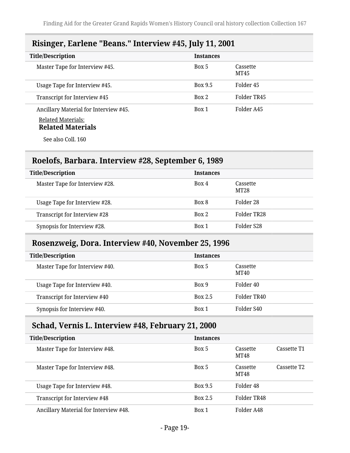# <span id="page-18-0"></span>**Risinger, Earlene "Beans." Interview #45, July 11, 2001**

| <b>Title/Description</b>                              | <b>Instances</b> |                  |
|-------------------------------------------------------|------------------|------------------|
| Master Tape for Interview #45.                        | Box 5            | Cassette<br>MT45 |
| Usage Tape for Interview #45.                         | Box 9.5          | Folder 45        |
| Transcript for Interview #45                          | Box 2            | Folder TR45      |
| Ancillary Material for Interview #45.                 | Box 1            | Folder A45       |
| <b>Related Materials:</b><br><b>Related Materials</b> |                  |                  |
| See also Coll. 160                                    |                  |                  |

# <span id="page-18-1"></span>**Roelofs, Barbara. Interview #28, September 6, 1989**

| <b>Title/Description</b>       | <b>Instances</b> |                  |
|--------------------------------|------------------|------------------|
| Master Tape for Interview #28. | Box 4            | Cassette<br>MT28 |
| Usage Tape for Interview #28.  | Box 8            | Folder 28        |
| Transcript for Interview #28   | Box 2            | Folder TR28      |
| Synopsis for Interview #28.    | Box 1            | Folder S28       |

### <span id="page-18-2"></span>**Rosenzweig, Dora. Interview #40, November 25, 1996**

| <b>Title/Description</b>       | <b>Instances</b> |                  |
|--------------------------------|------------------|------------------|
| Master Tape for Interview #40. | Box 5            | Cassette<br>MT40 |
| Usage Tape for Interview #40.  | Box 9            | Folder 40        |
| Transcript for Interview #40   | <b>Box 2.5</b>   | Folder TR40      |
| Synopsis for Interview #40.    | Box 1            | Folder S40       |

# <span id="page-18-3"></span>**Schad, Vernis L. Interview #48, February 21, 2000**

| <b>Title/Description</b>              | <b>Instances</b> |                  |                         |
|---------------------------------------|------------------|------------------|-------------------------|
| Master Tape for Interview #48.        | Box 5            | Cassette<br>MT48 | Cassette T1             |
| Master Tape for Interview #48.        | Box 5            | Cassette<br>MT48 | Cassette T <sub>2</sub> |
| Usage Tape for Interview #48.         | <b>Box 9.5</b>   | Folder 48        |                         |
| Transcript for Interview #48          | <b>Box 2.5</b>   | Folder TR48      |                         |
| Ancillary Material for Interview #48. | Box 1            | Folder A48       |                         |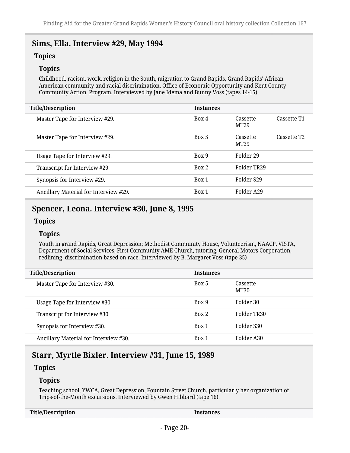# <span id="page-19-0"></span>**Sims, Ella. Interview #29, May 1994**

### **Topics**

### **Topics**

Childhood, racism, work, religion in the South, migration to Grand Rapids, Grand Rapids' African American community and racial discrimination, Office of Economic Opportunity and Kent County Community Action. Program. Interviewed by Jane Idema and Bunny Voss (tapes 14-15).

| <b>Title/Description</b>              | <b>Instances</b> |                  |                         |
|---------------------------------------|------------------|------------------|-------------------------|
| Master Tape for Interview #29.        | Box 4            | Cassette<br>MT29 | Cassette T1             |
| Master Tape for Interview #29.        | Box 5            | Cassette<br>MT29 | Cassette T <sub>2</sub> |
| Usage Tape for Interview #29.         | Box 9            | Folder 29        |                         |
| Transcript for Interview #29          | Box 2            | Folder TR29      |                         |
| Synopsis for Interview #29.           | Box 1            | Folder S29       |                         |
| Ancillary Material for Interview #29. | Box 1            | Folder A29       |                         |
|                                       |                  |                  |                         |

# <span id="page-19-1"></span>**Spencer, Leona. Interview #30, June 8, 1995**

### **Topics**

### **Topics**

Youth in grand Rapids, Great Depression; Methodist Community House, Volunteerism, NAACP, VISTA, Department of Social Services, First Community AME Church, tutoring, General Motors Corporation, redlining, discrimination based on race. Interviewed by B. Margaret Voss (tape 35)

| <b>Title/Description</b>              | <b>Instances</b> |                  |
|---------------------------------------|------------------|------------------|
| Master Tape for Interview #30.        | Box 5            | Cassette<br>MT30 |
| Usage Tape for Interview #30.         | Box 9            | Folder 30        |
| Transcript for Interview #30          | Box 2            | Folder TR30      |
| Synopsis for Interview #30.           | Box 1            | Folder S30       |
| Ancillary Material for Interview #30. | Box 1            | Folder A30       |

# <span id="page-19-2"></span>**Starr, Myrtle Bixler. Interview #31, June 15, 1989**

### **Topics**

### **Topics**

Teaching school, YWCA, Great Depression, Fountain Street Church, particularly her organization of Trips-of-the-Month excursions. Interviewed by Gwen Hibbard (tape 16).

| <b>Title/Description</b> |  |
|--------------------------|--|
|--------------------------|--|

**Instances**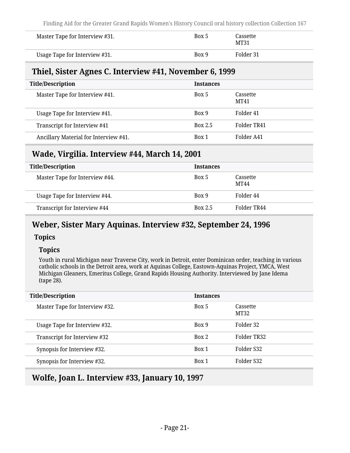| Master Tape for Interview #31. | Box 5 | Cassette<br>MT31 |
|--------------------------------|-------|------------------|
| Usage Tape for Interview #31.  | Box 9 | Folder 31        |

### <span id="page-20-0"></span>**Thiel, Sister Agnes C. Interview #41, November 6, 1999**

| <b>Title/Description</b>              | <b>Instances</b> |                  |
|---------------------------------------|------------------|------------------|
| Master Tape for Interview #41.        | Box 5            | Cassette<br>MT41 |
| Usage Tape for Interview #41.         | Box 9            | Folder 41        |
| Transcript for Interview #41          | <b>Box 2.5</b>   | Folder TR41      |
| Ancillary Material for Interview #41. | Box 1            | Folder A41       |

# <span id="page-20-1"></span>**Wade, Virgilia. Interview #44, March 14, 2001**

| <b>Title/Description</b>       | <b>Instances</b> |                         |
|--------------------------------|------------------|-------------------------|
| Master Tape for Interview #44. | Box 5            | Cassette<br><b>MT44</b> |
| Usage Tape for Interview #44.  | Box 9            | Folder 44               |
| Transcript for Interview #44   | <b>Box 2.5</b>   | Folder TR44             |

# <span id="page-20-2"></span>**Weber, Sister Mary Aquinas. Interview #32, September 24, 1996**

### **Topics**

### **Topics**

Youth in rural Michigan near Traverse City, work in Detroit, enter Dominican order, teaching in various catholic schools in the Detroit area, work at Aquinas College, Eastown-Aquinas Project, YMCA, West Michigan Gleaners, Emeritus College, Grand Rapids Housing Authority. Interviewed by Jane Idema (tape 28).

| <b>Title/Description</b>       | <b>Instances</b> |                  |
|--------------------------------|------------------|------------------|
| Master Tape for Interview #32. | Box 5            | Cassette<br>MT32 |
| Usage Tape for Interview #32.  | Box 9            | Folder 32        |
| Transcript for Interview #32   | Box 2            | Folder TR32      |
| Synopsis for Interview #32.    | Box 1            | Folder S32       |
| Synopsis for Interview #32.    | Box 1            | Folder S32       |
|                                |                  |                  |

# <span id="page-20-3"></span>**Wolfe, Joan L. Interview #33, January 10, 1997**